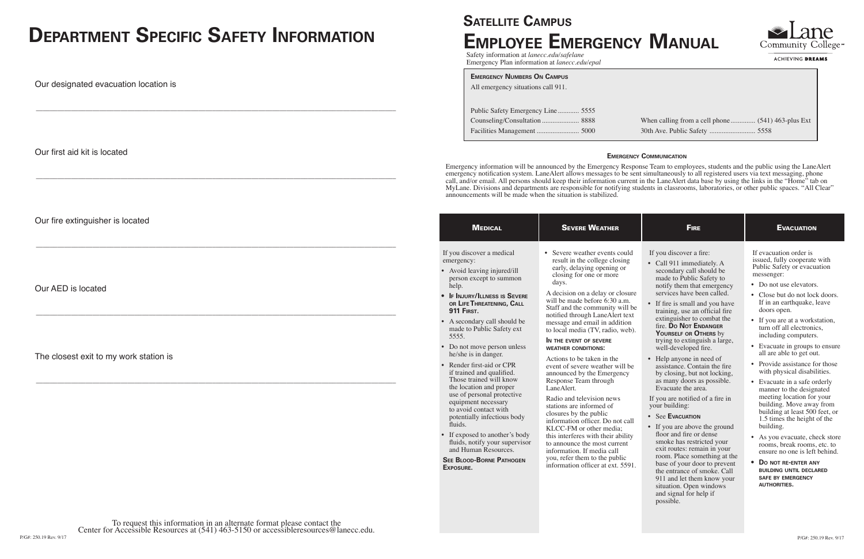# **SATELLITE CAMPUS Employee Emergency Manual**

| <b>MEDICAL</b>                                                                                                                                                                                                                                                                                                                                                                                                                                                                                                                                                                                                                                                                                                 | <b>SEVERE WEATHER</b>                                                                                                                                                                                                                                                                                                                                                                                                                                                                                                                                                                                                                                                                                                                                                                                                                                                      | <b>FIRE</b>                                                                                                                                                                                                                                                                                                                                                                                                                                                                                                                                                                                                                                                                                                                                                                                                                                                                                                                             | <b>EVACUATION</b>                                                                                                                                                                                                                                                                                                                                                                                                                                                                                                                                                                                                                                                                                                                                                                                                                                    |
|----------------------------------------------------------------------------------------------------------------------------------------------------------------------------------------------------------------------------------------------------------------------------------------------------------------------------------------------------------------------------------------------------------------------------------------------------------------------------------------------------------------------------------------------------------------------------------------------------------------------------------------------------------------------------------------------------------------|----------------------------------------------------------------------------------------------------------------------------------------------------------------------------------------------------------------------------------------------------------------------------------------------------------------------------------------------------------------------------------------------------------------------------------------------------------------------------------------------------------------------------------------------------------------------------------------------------------------------------------------------------------------------------------------------------------------------------------------------------------------------------------------------------------------------------------------------------------------------------|-----------------------------------------------------------------------------------------------------------------------------------------------------------------------------------------------------------------------------------------------------------------------------------------------------------------------------------------------------------------------------------------------------------------------------------------------------------------------------------------------------------------------------------------------------------------------------------------------------------------------------------------------------------------------------------------------------------------------------------------------------------------------------------------------------------------------------------------------------------------------------------------------------------------------------------------|------------------------------------------------------------------------------------------------------------------------------------------------------------------------------------------------------------------------------------------------------------------------------------------------------------------------------------------------------------------------------------------------------------------------------------------------------------------------------------------------------------------------------------------------------------------------------------------------------------------------------------------------------------------------------------------------------------------------------------------------------------------------------------------------------------------------------------------------------|
| If you discover a medical<br>emergency:<br>• Avoid leaving injured/ill<br>person except to summon<br>help.<br>• IF INJURY/ILLNESS IS SEVERE<br>OR LIFE THREATENING, CALL<br><b>911 FIRST.</b><br>• A secondary call should be<br>made to Public Safety ext<br>5555.<br>• Do not move person unless<br>he/she is in danger.<br>• Render first-aid or CPR<br>if trained and qualified.<br>Those trained will know<br>the location and proper<br>use of personal protective<br>equipment necessary<br>to avoid contact with<br>potentially infectious body<br>fluids.<br>• If exposed to another's body<br>fluids, notify your supervisor<br>and Human Resources.<br><b>SEE BLOOD-BORNE PATHOGEN</b><br>EXPOSURE. | • Severe weather events could<br>result in the college closing<br>early, delaying opening or<br>closing for one or more<br>days.<br>A decision on a delay or closure<br>will be made before 6:30 a.m.<br>Staff and the community will be<br>notified through LaneAlert text<br>message and email in addition<br>to local media (TV, radio, web).<br>IN THE EVENT OF SEVERE<br><b>WEATHER CONDITIONS:</b><br>Actions to be taken in the<br>event of severe weather will be<br>announced by the Emergency<br>Response Team through<br>LaneAlert.<br>Radio and television news<br>stations are informed of<br>closures by the public<br>information officer. Do not call<br>KLCC-FM or other media;<br>this interferes with their ability<br>to announce the most current<br>information. If media call<br>you, refer them to the public<br>information officer at ext. 5591. | If you discover a fire:<br>• Call 911 immediately. A<br>secondary call should be<br>made to Public Safety to<br>notify them that emergency<br>services have been called.<br>• If fire is small and you have<br>training, use an official fire<br>extinguisher to combat the<br>fire. Do Not ENDANGER<br>YOURSELF OR OTHERS by<br>trying to extinguish a large,<br>well-developed fire.<br>• Help anyone in need of<br>assistance. Contain the fire<br>by closing, but not locking,<br>as many doors as possible.<br>Evacuate the area.<br>If you are notified of a fire in<br>your building:<br>• See EVACUATION<br>• If you are above the ground<br>floor and fire or dense<br>smoke has restricted your<br>exit routes: remain in your<br>room. Place something at the<br>base of your door to prevent<br>the entrance of smoke. Call<br>911 and let them know your<br>situation. Open windows<br>and signal for help if<br>possible. | If evacuation order is<br>issued, fully cooperate with<br>Public Safety or evacuation<br>messenger:<br>• Do not use elevators.<br>• Close but do not lock doors.<br>If in an earthquake, leave<br>doors open.<br>• If you are at a workstation,<br>turn off all electronics,<br>including computers.<br>• Evacuate in groups to ensure<br>all are able to get out.<br>• Provide assistance for those<br>with physical disabilities.<br>• Evacuate in a safe orderly<br>manner to the designated<br>meeting location for your<br>building. Move away from<br>building at least 500 feet, or<br>1.5 times the height of the<br>building.<br>• As you evacuate, check store<br>rooms, break rooms, etc. to<br>ensure no one is left behind.<br>DO NOT RE-ENTER ANY<br><b>BUILDING UNTIL DECLARED</b><br><b>SAFE BY EMERGENCY</b><br><b>AUTHORITIES.</b> |



ACHIEVING DREAMS

Safety information at *lanecc.edu/safelane* Emergency Plan information at *lanecc.edu/epal*

### **Emergency Communication**

Emergency information will be announced by the Emergency Response Team to employees, students and the public using the LaneAlert emergency notification system. LaneAlert allows messages to be sent simultaneously to all registered users via text messaging, phone call, and/or email. All persons should keep their information current in the LaneAlert data base by using the links in the "Home" tab on MyLane. Divisions and departments are responsible for notifying students in classrooms, laboratories, or other public spaces. "All Clear" announcements will be made when the situation is stabilized.

| <b>EMERGENCY NUMBERS ON CAMPUS</b> |  |  |  |  |  |  |  |
|------------------------------------|--|--|--|--|--|--|--|
| All emergency situations call 911. |  |  |  |  |  |  |  |
|                                    |  |  |  |  |  |  |  |
| Public Safety Emergency Line 5555  |  |  |  |  |  |  |  |
|                                    |  |  |  |  |  |  |  |
|                                    |  |  |  |  |  |  |  |
|                                    |  |  |  |  |  |  |  |

When calling from a cell phone .............. (541) 463-plus Ext 30th Ave. Public Safety .......................... 5558

# **Department Specific Safety Information**

Our designated evacuation location is

\_\_\_\_\_\_\_\_\_\_\_\_\_\_\_\_\_\_\_\_\_\_\_\_\_\_\_\_\_\_\_\_\_\_\_\_\_\_\_\_\_\_\_\_\_\_\_\_\_\_\_\_\_\_\_\_\_\_\_\_\_\_\_\_\_\_\_\_\_\_\_\_\_\_\_\_\_\_\_\_\_\_\_\_\_\_\_\_\_\_\_\_\_\_\_\_\_\_\_\_\_\_

Our first aid kit is located

\_\_\_\_\_\_\_\_\_\_\_\_\_\_\_\_\_\_\_\_\_\_\_\_\_\_\_\_\_\_\_\_\_\_\_\_\_\_\_\_\_\_\_\_\_\_\_\_\_\_\_\_\_\_\_\_\_\_\_\_\_\_\_\_\_\_\_\_\_\_\_\_\_\_\_\_\_\_\_\_\_\_\_\_\_\_\_\_\_\_\_\_\_\_\_\_\_\_\_\_\_\_

Our fire extinguisher is located

\_\_\_\_\_\_\_\_\_\_\_\_\_\_\_\_\_\_\_\_\_\_\_\_\_\_\_\_\_\_\_\_\_\_\_\_\_\_\_\_\_\_\_\_\_\_\_\_\_\_\_\_\_\_\_\_\_\_\_\_\_\_\_\_\_\_\_\_\_\_\_\_\_\_\_\_\_\_\_\_\_\_\_\_\_\_\_\_\_\_\_\_\_\_\_\_\_\_\_\_\_\_

Our AED is located

\_\_\_\_\_\_\_\_\_\_\_\_\_\_\_\_\_\_\_\_\_\_\_\_\_\_\_\_\_\_\_\_\_\_\_\_\_\_\_\_\_\_\_\_\_\_\_\_\_\_\_\_\_\_\_\_\_\_\_\_\_\_\_\_\_\_\_\_\_\_\_\_\_\_\_\_\_\_\_\_\_\_\_\_\_\_\_\_\_\_\_\_\_\_\_\_\_\_\_\_\_\_

# The closest exit to my work station is

\_\_\_\_\_\_\_\_\_\_\_\_\_\_\_\_\_\_\_\_\_\_\_\_\_\_\_\_\_\_\_\_\_\_\_\_\_\_\_\_\_\_\_\_\_\_\_\_\_\_\_\_\_\_\_\_\_\_\_\_\_\_\_\_\_\_\_\_\_\_\_\_\_\_\_\_\_\_\_\_\_\_\_\_\_\_\_\_\_\_\_\_\_\_\_\_\_\_\_\_\_\_

P/G#: 250.19 Rev. 9/17